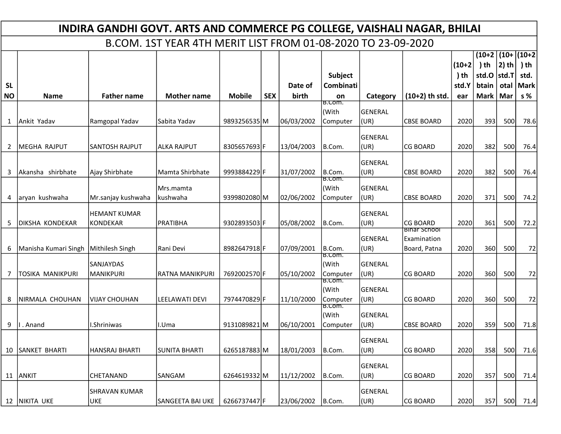|                        | INDIRA GANDHI GOVT. ARTS AND COMMERCE PG COLLEGE, VAISHALI NAGAR, BHILAI |                          |                    |               |            |                  |                        |                        |                     |              |                     |             |             |  |
|------------------------|--------------------------------------------------------------------------|--------------------------|--------------------|---------------|------------|------------------|------------------------|------------------------|---------------------|--------------|---------------------|-------------|-------------|--|
|                        | B.COM. 1ST YEAR 4TH MERIT LIST FROM 01-08-2020 TO 23-09-2020             |                          |                    |               |            |                  |                        |                        |                     |              |                     |             |             |  |
|                        |                                                                          |                          |                    |               |            |                  |                        |                        |                     |              | $(10+2)(10+)(10+2)$ |             |             |  |
|                        |                                                                          |                          |                    |               |            |                  |                        |                        |                     | $(10+2)$     | $)$ th              | $ 2)$ th    | ) th        |  |
|                        |                                                                          |                          |                    |               |            |                  | Subject                |                        |                     | ) th         | std.O  std.T        |             | std.        |  |
| <b>SL</b><br><b>NO</b> | <b>Name</b>                                                              | <b>Father name</b>       | <b>Mother name</b> | <b>Mobile</b> | <b>SEX</b> | Date of<br>birth | <b>Combinati</b><br>on | Category               | $(10+2)$ th std.    | std.Y<br>ear | btain<br>Mark       | otal<br>Mar | Mark<br>s % |  |
|                        |                                                                          |                          |                    |               |            |                  | B.Com.                 |                        |                     |              |                     |             |             |  |
|                        |                                                                          |                          |                    |               |            |                  | (With                  | <b>GENERAL</b>         |                     |              |                     |             |             |  |
|                        | 1   Ankit Yadav                                                          | Ramgopal Yadav           | Sabita Yadav       | 9893256535 M  |            | 06/03/2002       | Computer               | (UR)                   | <b>CBSE BOARD</b>   | 2020         | 393                 | 500         | 78.6        |  |
|                        |                                                                          |                          |                    |               |            |                  |                        | <b>GENERAL</b>         |                     |              |                     |             |             |  |
|                        | 2   MEGHA RAJPUT                                                         | SANTOSH RAJPUT           | ALKA RAJPUT        | 8305657693 F  |            | 13/04/2003       | B.Com.                 | (UR)                   | <b>CG BOARD</b>     | 2020         | 382                 | 500         | 76.4        |  |
|                        |                                                                          |                          |                    |               |            |                  |                        | <b>GENERAL</b>         |                     |              |                     |             |             |  |
|                        | 3 Akansha shirbhate                                                      | Ajay Shirbhate           | lMamta Shirbhate   | 9993884229 F  |            | 31/07/2002       | B.Com.                 | (UR)                   | <b>CBSE BOARD</b>   | 2020         | 382                 | 500         | 76.4        |  |
|                        |                                                                          |                          | Mrs.mamta          |               |            |                  | B.Com.<br>(With        | <b>GENERAL</b>         |                     |              |                     |             |             |  |
|                        | 4 aryan kushwaha                                                         | Mr.sanjay kushwaha       | kushwaha           | 9399802080 M  |            | 02/06/2002       | Computer               | (UR)                   | <b>CBSE BOARD</b>   | 2020         | 371                 | 500         | 74.2        |  |
|                        |                                                                          |                          |                    |               |            |                  |                        |                        |                     |              |                     |             |             |  |
|                        | 5 DIKSHA KONDEKAR                                                        | HEMANT KUMAR<br>KONDEKAR | <b>PRATIBHA</b>    | 9302893503 F  |            | 05/08/2002       | B.Com.                 | <b>GENERAL</b><br>(UR) | <b>CG BOARD</b>     | 2020         | 361                 | 500         | 72.2        |  |
|                        |                                                                          |                          |                    |               |            |                  |                        |                        | <u>Binar School</u> |              |                     |             |             |  |
|                        |                                                                          |                          |                    |               |            |                  |                        | <b>GENERAL</b>         | Examination         |              |                     |             |             |  |
|                        | 6   Manisha Kumari Singh   Mithilesh Singh                               |                          | Rani Devi          | 8982647918F   |            | 07/09/2001       | B.Com.<br>B.Com.       | (UR)                   | Board, Patna        | 2020         | 360                 | 500         | 72          |  |
|                        |                                                                          | SANJAYDAS                |                    |               |            |                  | (With                  | <b>GENERAL</b>         |                     |              |                     |             |             |  |
|                        | <b>TOSIKA MANIKPURI</b>                                                  | MANIKPURI                | RATNA MANIKPURI    | 7692002570 F  |            | 05/10/2002       | Computer<br>B.Com.     | (UR)                   | <b>CG BOARD</b>     | 2020         | 360                 | 500         | 72          |  |
|                        |                                                                          |                          |                    |               |            |                  | (With                  | <b>GENERAL</b>         |                     |              |                     |             |             |  |
|                        | 8   NIRMALA CHOUHAN                                                      | VIJAY CHOUHAN            | LEELAWATI DEVI     | 7974470829 F  |            | 11/10/2000       | Computer               | (UR)                   | <b>CG BOARD</b>     | 2020         | 360                 | 500         | 72          |  |
|                        |                                                                          |                          |                    |               |            |                  | B.Com.<br>(With        | <b>GENERAL</b>         |                     |              |                     |             |             |  |
|                        | 9   I. Anand                                                             | I.Shriniwas              | I.Uma              | 9131089821M   |            | 06/10/2001       | <b>Computer</b>        | (UR)                   | <b>CBSE BOARD</b>   | 2020         | 359                 | 500         | 71.8        |  |
|                        |                                                                          |                          |                    |               |            |                  |                        |                        |                     |              |                     |             |             |  |
|                        |                                                                          |                          |                    |               |            |                  |                        | <b>GENERAL</b>         |                     |              |                     |             |             |  |
|                        | 10 SANKET BHARTI                                                         | lhansraj bharti          | SUNITA BHARTI      | 6265187883 M  |            | 18/01/2003       | B.Com.                 | (UR)                   | <b>CG BOARD</b>     | 2020         | 358                 | 500         | 71.6        |  |
|                        |                                                                          |                          |                    |               |            |                  |                        | <b>GENERAL</b>         |                     |              |                     |             |             |  |
|                        | 11 ANKIT                                                                 | CHETANAND                | <b>SANGAM</b>      | 6264619332M   |            | 11/12/2002       | B.Com.                 | (UR)                   | <b>CG BOARD</b>     | 2020         | 357                 | 500         | 71.4        |  |
|                        |                                                                          | <b>SHRAVAN KUMAR</b>     |                    |               |            |                  |                        | <b>GENERAL</b>         |                     |              |                     |             |             |  |
|                        | 12   NIKITA UKE                                                          | UKE                      | SANGEETA BAI UKE   | 6266737447 F  |            | 23/06/2002       | B.Com.                 | (UR)                   | <b>CG BOARD</b>     | 2020         | 357                 | 500         | 71.4        |  |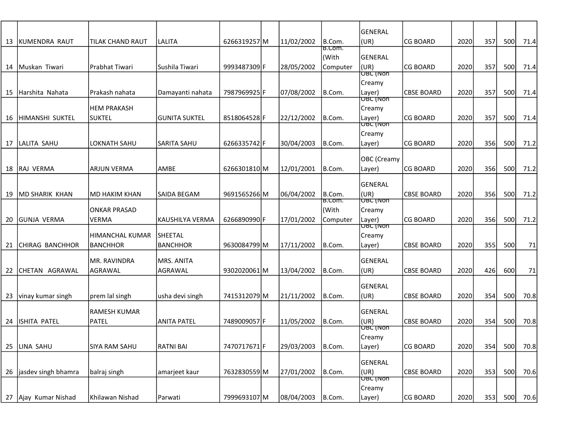|      |                        |                      |                      |              |            |                   | GENERAL                          |                   |      |     |     |      |
|------|------------------------|----------------------|----------------------|--------------|------------|-------------------|----------------------------------|-------------------|------|-----|-----|------|
| 13   | <b>KUMENDRA RAUT</b>   | TILAK CHAND RAUT     | <b>LALITA</b>        | 6266319257 M | 11/02/2002 | B.Com.            | (UR)                             | <b>CG BOARD</b>   | 2020 | 357 | 500 | 71.4 |
|      |                        |                      |                      |              |            | । ਇ.Com.<br>(With | GENERAL                          |                   |      |     |     |      |
|      | 14   Muskan Tiwari     | Prabhat Tiwari       | lSushila Tiwari      | 9993487309 F | 28/05/2002 | Computer          | (UR)                             | <b>CG BOARD</b>   | 2020 | 357 | 500 | 71.4 |
|      |                        |                      |                      |              |            |                   | <b>OBC (NON</b><br>Creamy        |                   |      |     |     |      |
| 15 I | lHarshita Nahata       | Prakash nahata       | Damayanti nahata     | 7987969925F  | 07/08/2002 | B.Com.            | Layer)                           | <b>CBSE BOARD</b> | 2020 | 357 | 500 | 71.4 |
|      |                        | <b>HEM PRAKASH</b>   |                      |              |            |                   | <del>loric (ivon</del><br>Creamy |                   |      |     |     |      |
| 16   | HIMANSHI SUKTEL        | <b>SUKTEL</b>        | <b>GUNITA SUKTEL</b> | 8518064528F  | 22/12/2002 | B.Com.            | Layer)                           | <b>CG BOARD</b>   | 2020 | 357 | 500 | 71.4 |
|      |                        |                      |                      |              |            |                   | <u>loric (non</u>                |                   |      |     |     |      |
| 17   | LALITA SAHU            | <b>LOKNATH SAHU</b>  | SARITA SAHU          | 6266335742 F | 30/04/2003 | B.Com.            | Creamy<br>Layer)                 | <b>CG BOARD</b>   | 2020 | 356 | 500 | 71.2 |
|      |                        |                      |                      |              |            |                   |                                  |                   |      |     |     |      |
|      | 18 RAJ VERMA           | <b>ARJUN VERMA</b>   | AMBE                 | 6266301810 M | 12/01/2001 | B.Com.            | OBC (Creamy<br>Layer)            | <b>CG BOARD</b>   | 2020 | 356 | 500 | 71.2 |
|      |                        |                      |                      |              |            |                   |                                  |                   |      |     |     |      |
|      |                        |                      | SAIDA BEGAM          |              | 06/04/2002 | B.Com.            | GENERAL<br>(UR)                  | <b>CBSE BOARD</b> | 2020 | 356 | 500 |      |
| 19   | MD SHARIK KHAN         | MD HAKIM KHAN        |                      | 9691565266 M |            | <b>B.COM.</b>     | <b>OBC (NON</b>                  |                   |      |     |     | 71.2 |
|      |                        | <b>ONKAR PRASAD</b>  |                      |              |            | (With             | Creamy                           |                   |      |     |     |      |
| 20   | GUNJA VERMA            | <b>VERMA</b>         | KAUSHILYA VERMA      | 6266890990 F | 17/01/2002 | Computer          | Layer)<br> OBC (Non              | <b>CG BOARD</b>   | 2020 | 356 | 500 | 71.2 |
|      |                        | HIMANCHAL KUMAR      | SHEETAL              |              |            |                   | Creamy                           |                   |      |     |     |      |
| 21   | <b>CHIRAG BANCHHOR</b> | BANCHHOR             | <b>BANCHHOR</b>      | 9630084799 M | 17/11/2002 | B.Com.            | Layer)                           | <b>CBSE BOARD</b> | 2020 | 355 | 500 | 71   |
|      |                        | <b>MR. RAVINDRA</b>  | MRS. ANITA           |              |            |                   | GENERAL                          |                   |      |     |     |      |
| 22   | CHETAN AGRAWAL         | <b>AGRAWAL</b>       | AGRAWAL              | 9302020061 M | 13/04/2002 | B.Com.            | (UR)                             | <b>CBSE BOARD</b> | 2020 | 426 | 600 | 71   |
|      |                        |                      |                      |              |            |                   | GENERAL                          |                   |      |     |     |      |
| 23   | vinay kumar singh      | prem lal singh       | usha devi singh      | 7415312079 M | 21/11/2002 | B.Com.            | (UR)                             | <b>CBSE BOARD</b> | 2020 | 354 | 500 | 70.8 |
|      |                        | RAMESH KUMAR         |                      |              |            |                   | GENERAL                          |                   |      |     |     |      |
| 24   | ISHITA PATEL           | PATEL                | ANITA PATEL          | 7489009057 F | 11/05/2002 | B.Com.            | (UR)<br><b>OBC (NON</b>          | <b>CBSE BOARD</b> | 2020 | 354 | 500 | 70.8 |
|      |                        |                      |                      |              |            |                   | Creamy                           |                   |      |     |     |      |
|      | 25 LINA SAHU           | <b>SIYA RAM SAHU</b> | <b>RATNI BAI</b>     | 7470717671F  | 29/03/2003 | B.Com.            | Layer)                           | CG BOARD          | 2020 | 354 | 500 | 70.8 |
|      |                        |                      |                      |              |            |                   | GENERAL                          |                   |      |     |     |      |
|      | 26 jasdev singh bhamra | balraj singh         | amarjeet kaur        | 7632830559M  | 27/01/2002 | B.Com.            | (UR)                             | <b>CBSE BOARD</b> | 2020 | 353 | 500 | 70.6 |
|      |                        |                      |                      |              |            |                   | UBC (Non<br>Creamy               |                   |      |     |     |      |
|      | 27 Ajay Kumar Nishad   | Khilawan Nishad      | Parwati              | 7999693107 M | 08/04/2003 | B.Com.            | Layer)                           | CG BOARD          | 2020 | 353 | 500 | 70.6 |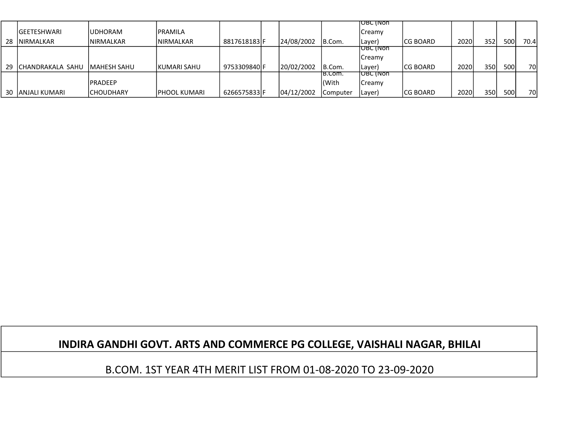|    |                   |                     |               |              |            |          | <b>TOBC (NON</b> |           |      |     |     |       |
|----|-------------------|---------------------|---------------|--------------|------------|----------|------------------|-----------|------|-----|-----|-------|
|    | IGEETESHWARI      | IUDHORAM            | IPRAMILA      |              |            |          | <b>Creamy</b>    |           |      |     |     |       |
| 28 | INIRMALKAR        | <b>INIRMALKAR</b>   | INIRMALKAR    | 8817618183 F | 24/08/2002 | IB.Com.  | Layer)           | ICG BOARD | 2020 | 352 | 500 | 70.4l |
|    |                   |                     |               |              |            |          | IUBC (NON        |           |      |     |     |       |
|    |                   |                     |               |              |            |          | <b>Creamy</b>    |           |      |     |     |       |
| 29 | ICHANDRAKALA SAHU | <b>IMAHESH SAHU</b> | IKUMARI SAHU  | 9753309840 F | 20/02/2002 | IB.Com.  | (Layer           | ICG BOARD | 2020 | 350 | 500 | 70    |
|    |                   |                     |               |              |            | IB.Com.  | TOBC (NON        |           |      |     |     |       |
|    |                   | IPRADEEP            |               |              |            | (With    | <b>Creamy</b>    |           |      |     |     |       |
|    | 30 JANJALI KUMARI | <b>ICHOUDHARY</b>   | IPHOOL KUMARI | 6266575833 F | 04/12/2002 | Computer | Layer)           | ICG BOARD | 2020 | 350 | 500 | 70    |

## INDIRA GANDHI GOVT. ARTS AND COMMERCE PG COLLEGE, VAISHALI NAGAR, BHILAI

B.COM. 1ST YEAR 4TH MERIT LIST FROM 01-08-2020 TO 23-09-2020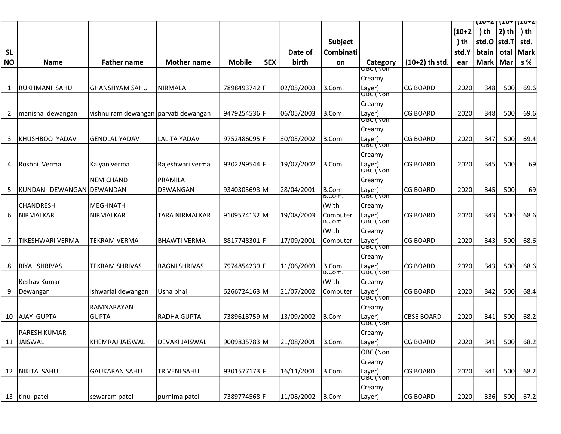|           |                            |                                        |                       |               |            |            |                  |                           |                   |          | $11072$   107  1072 |          |             |
|-----------|----------------------------|----------------------------------------|-----------------------|---------------|------------|------------|------------------|---------------------------|-------------------|----------|---------------------|----------|-------------|
|           |                            |                                        |                       |               |            |            |                  |                           |                   | $(10+2)$ | ) th                | $ 2)$ th | ) th        |
|           |                            |                                        |                       |               |            |            | Subject          |                           |                   | ) th     | std.O  std.T        |          | std.        |
| <b>SL</b> |                            |                                        |                       |               |            | Date of    | Combinati        |                           |                   | std.Y    | btain               | otal     | <b>Mark</b> |
| <b>NO</b> | <b>Name</b>                | <b>Father name</b>                     | <b>Mother name</b>    | <b>Mobile</b> | <b>SEX</b> | birth      | on               | Category                  | $(10+2)$ th std.  | ear      | Mark   Mar          |          | s %         |
|           |                            |                                        |                       |               |            |            |                  | एछट (ार्जा                |                   |          |                     |          |             |
|           |                            |                                        |                       |               |            |            |                  | Creamy                    |                   |          |                     |          |             |
|           | 1 RUKHMANI SAHU            | lGHANSHYAM SAHU                        | NIRMALA               | 7898493742 F  |            | 02/05/2003 | B.Com.           | Layer)                    | <b>CG BOARD</b>   | 2020     | 348                 | 500      | 69.6        |
|           |                            |                                        |                       |               |            |            |                  | <b>OBC (NON</b>           |                   |          |                     |          |             |
|           |                            |                                        |                       |               |            |            |                  | Creamy                    |                   |          |                     |          |             |
|           | 2 manisha dewangan         | vishnu ram dewangan   parvati dewangan |                       | 9479254536F   |            | 06/05/2003 | B.Com.           | Layer)<br><b>OBC (NON</b> | <b>CG BOARD</b>   | 2020     | 348                 | 500      | 69.6        |
|           |                            |                                        |                       |               |            |            |                  | Creamy                    |                   |          |                     |          |             |
|           | 3 KHUSHBOO YADAV           | <b>GENDLAL YADAV</b>                   | <b>LALITA YADAV</b>   | 9752486095F   |            | 30/03/2002 | B.Com.           | Layer)                    | <b>CG BOARD</b>   | 2020     | 347                 | 500      | 69.4        |
|           |                            |                                        |                       |               |            |            |                  | <b>OBC (NON</b>           |                   |          |                     |          |             |
|           |                            |                                        |                       |               |            |            |                  | Creamy                    |                   |          |                     |          |             |
|           | 4 Roshni Verma             | Kalyan verma                           | Rajeshwari verma      | 9302299544F   |            | 19/07/2002 | B.Com.           | Layer)                    | <b>CG BOARD</b>   | 2020     | 345                 | 500      | 69          |
|           |                            |                                        |                       |               |            |            |                  | <u>OBC (Non</u>           |                   |          |                     |          |             |
|           |                            | NEMICHAND                              | PRAMILA               |               |            |            |                  | Creamy                    |                   |          |                     |          |             |
|           | 5 KUNDAN DEWANGAN DEWANDAN |                                        | DEWANGAN              | 9340305698 M  |            | 28/04/2001 | B.Com.<br>B.Com. | Layer)<br><u>OBC (Non</u> | <b>CG BOARD</b>   | 2020     | 345                 | 500      | 69          |
|           | <b>CHANDRESH</b>           | lMEGHNATH                              |                       |               |            |            | (With            | Creamy                    |                   |          |                     |          |             |
| 6         | <b>NIRMALKAR</b>           | <b>NIRMALKAR</b>                       | TARA NIRMALKAR        | 9109574132M   |            | 19/08/2003 | Computer         | Layer)                    | <b>CG BOARD</b>   | 2020     | 343                 | 500      | 68.6        |
|           |                            |                                        |                       |               |            |            | B.Com.           | <b>OBC (NON</b>           |                   |          |                     |          |             |
|           |                            |                                        |                       |               |            |            | (With            | Creamy                    |                   |          |                     |          |             |
| 7         | <b>TIKESHWARI VERMA</b>    | <b>TEKRAM VERMA</b>                    | BHAWTI VERMA          | 8817748301F   |            | 17/09/2001 | Computer         | Layer)                    | <b>CG BOARD</b>   | 2020     | 343                 | 500      | 68.6        |
|           |                            |                                        |                       |               |            |            |                  | <b>OBC (NON</b>           |                   |          |                     |          |             |
|           |                            |                                        |                       |               |            |            |                  | Creamy                    |                   |          |                     |          |             |
| 8         | RIYA SHRIVAS               | <b>TEKRAM SHRIVAS</b>                  | <b>RAGNI SHRIVAS</b>  | 7974854239 F  |            | 11/06/2003 | B.Com.<br>B.Com. | Layer)<br>OBC (NON        | <b>CG BOARD</b>   | 2020     | 343                 | 500      | 68.6        |
|           | Keshav Kumar               |                                        |                       |               |            |            | (With            | Creamy                    |                   |          |                     |          |             |
| 9         | Dewangan                   | Ishwarlal dewangan                     | Usha bhai             | 6266724163M   |            | 21/07/2002 | Computer         | Layer)                    | <b>CG BOARD</b>   | 2020     | 342                 | 500      | 68.4        |
|           |                            |                                        |                       |               |            |            |                  | <b>OBC INON</b>           |                   |          |                     |          |             |
|           |                            | <b>RAMNARAYAN</b>                      |                       |               |            |            |                  | Creamy                    |                   |          |                     |          |             |
|           | 10 AJAY GUPTA              | <b>GUPTA</b>                           | RADHA GUPTA           | 7389618759M   |            | 13/09/2002 | B.Com.           | Layer)                    | <b>CBSE BOARD</b> | 2020     | 341                 | 500      | 68.2        |
|           |                            |                                        |                       |               |            |            |                  | OBC (NON                  |                   |          |                     |          |             |
|           | PARESH KUMAR               |                                        |                       |               |            |            |                  | Creamy                    |                   |          |                     |          |             |
|           | 11 JAISWAL                 | <b>KHEMRAJ JAISWAL</b>                 | <b>DEVAKI JAISWAL</b> | 9009835783M   |            | 21/08/2001 | B.Com.           | Layer)                    | <b>CG BOARD</b>   | 2020     | 341                 | 500      | 68.2        |
|           |                            |                                        |                       |               |            |            |                  | OBC (Non                  |                   |          |                     |          |             |
|           |                            |                                        |                       |               |            |            |                  | Creamy                    |                   |          |                     |          |             |
|           | 12 NIKITA SAHU             | <b>GAUKARAN SAHU</b>                   | <b>TRIVENI SAHU</b>   | 9301577173 F  |            | 16/11/2001 | B.Com.           | Layer)<br>OBC (NON        | <b>CG BOARD</b>   | 2020     | 341                 | 500      | 68.2        |
|           |                            |                                        |                       |               |            |            |                  | Creamy                    |                   |          |                     |          |             |
|           | 13  tinu patel             | sewaram patel                          | purnima patel         | 7389774568F   |            | 11/08/2002 | B.Com.           | Layer)                    | <b>CG BOARD</b>   | 2020     | 336                 | 500      | 67.2        |
|           |                            |                                        |                       |               |            |            |                  |                           |                   |          |                     |          |             |